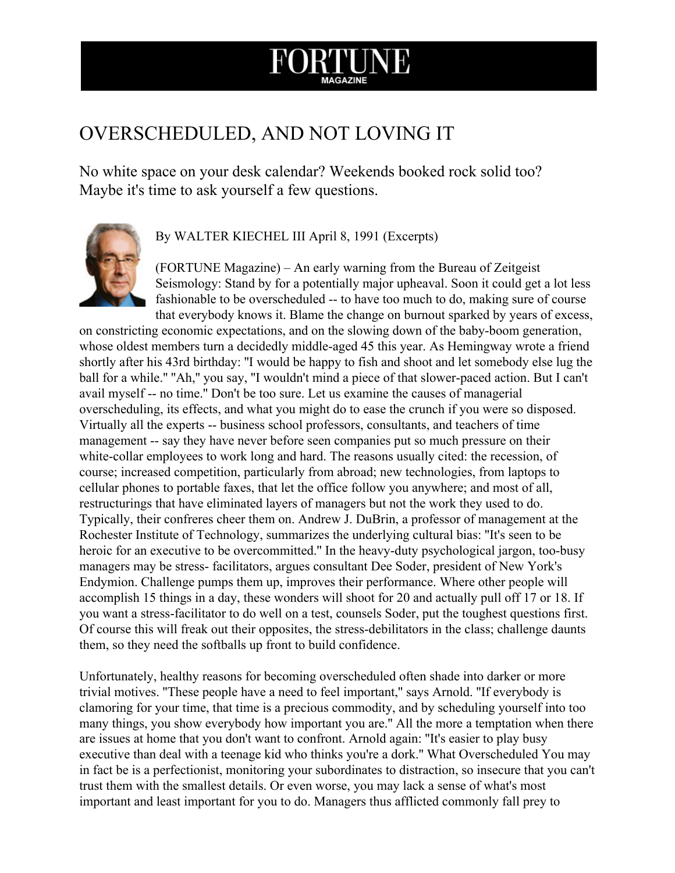## ORTU

## OVERSCHEDULED, AND NOT LOVING IT

No white space on your desk calendar? Weekends booked rock solid too? Maybe it's time to ask yourself a few questions.



## By WALTER KIECHEL III April 8, 1991 (Excerpts)

(FORTUNE Magazine) – An early warning from the Bureau of Zeitgeist Seismology: Stand by for a potentially major upheaval. Soon it could get a lot less fashionable to be overscheduled -- to have too much to do, making sure of course that everybody knows it. Blame the change on burnout sparked by years of excess,

on constricting economic expectations, and on the slowing down of the baby-boom generation, whose oldest members turn a decidedly middle-aged 45 this year. As Hemingway wrote a friend shortly after his 43rd birthday: ''I would be happy to fish and shoot and let somebody else lug the ball for a while." "Ah," you say, "I wouldn't mind a piece of that slower-paced action. But I can't avail myself -- no time." Don't be too sure. Let us examine the causes of managerial overscheduling, its effects, and what you might do to ease the crunch if you were so disposed. Virtually all the experts -- business school professors, consultants, and teachers of time management -- say they have never before seen companies put so much pressure on their white-collar employees to work long and hard. The reasons usually cited: the recession, of course; increased competition, particularly from abroad; new technologies, from laptops to cellular phones to portable faxes, that let the office follow you anywhere; and most of all, restructurings that have eliminated layers of managers but not the work they used to do. Typically, their confreres cheer them on. Andrew J. DuBrin, a professor of management at the Rochester Institute of Technology, summarizes the underlying cultural bias: ''It's seen to be heroic for an executive to be overcommitted." In the heavy-duty psychological jargon, too-busy managers may be stress-facilitators, argues consultant Dee Soder, president of New York's Endymion. Challenge pumps them up, improves their performance. Where other people will accomplish 15 things in a day, these wonders will shoot for 20 and actually pull off 17 or 18. If you want a stress-facilitator to do well on a test, counsels Soder, put the toughest questions first. Of course this will freak out their opposites, the stress-debilitators in the class; challenge daunts them, so they need the softballs up front to build confidence.

Unfortunately, healthy reasons for becoming overscheduled often shade into darker or more trivial motives. ''These people have a need to feel important,'' says Arnold. ''If everybody is clamoring for your time, that time is a precious commodity, and by scheduling yourself into too many things, you show everybody how important you are.'' All the more a temptation when there are issues at home that you don't want to confront. Arnold again: ''It's easier to play busy executive than deal with a teenage kid who thinks you're a dork.'' What Overscheduled You may in fact be is a perfectionist, monitoring your subordinates to distraction, so insecure that you can't trust them with the smallest details. Or even worse, you may lack a sense of what's most important and least important for you to do. Managers thus afflicted commonly fall prey to